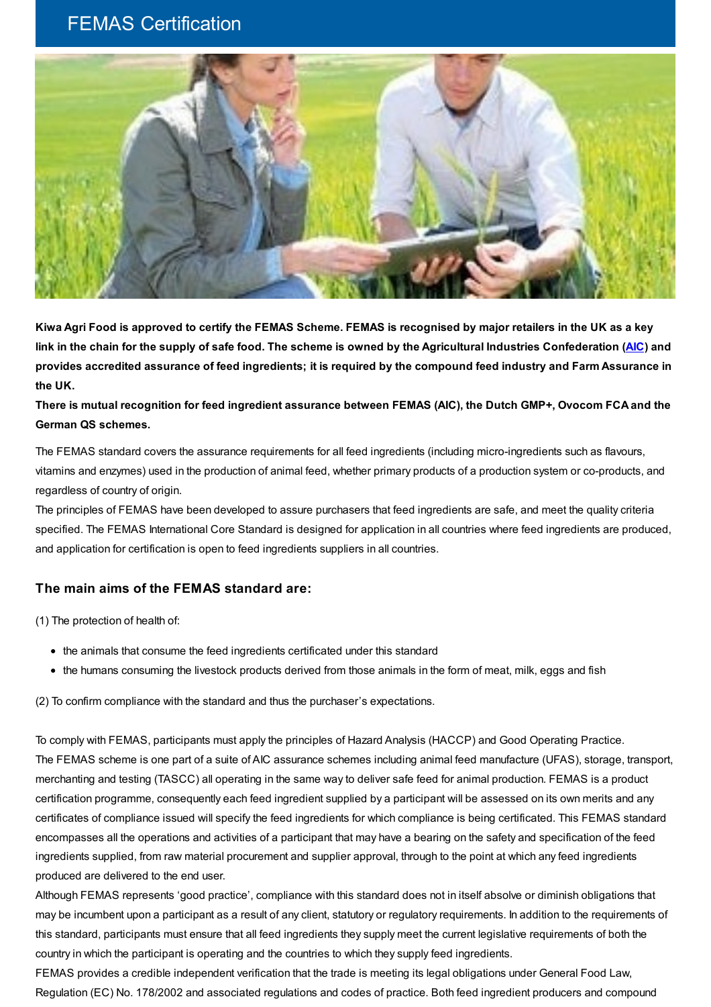## FEMAS Certification



Kiwa Agri Food is approved to certify the FEMAS Scheme. FEMAS is recognised by major retailers in the UK as a key link in the chain for the supply of safe food. The scheme is owned by the Agricultural Industries Confederation ([AIC\)](http://www.agindustries.org.uk) and provides accredited assurance of feed ingredients; it is required by the compound feed industry and Farm Assurance in **the UK.**

There is mutual recognition for feed ingredient assurance between FEMAS (AIC), the Dutch GMP+, Ovocom FCA and the **German QS schemes.**

The FEMAS standard covers the assurance requirements for all feed ingredients (including micro-ingredients such as flavours, vitamins and enzymes) used in the production of animal feed, whether primary products of a production system or co-products, and regardless of country of origin.

The principles of FEMAS have been developed to assure purchasers that feed ingredients are safe, and meet the quality criteria specified. The FEMAS International Core Standard is designed for application in all countries where feed ingredients are produced, and application for certification is open to feed ingredients suppliers in all countries.

## **The main aims of the FEMAS standard are:**

(1) The protection of health of:

- the animals that consume the feed ingredients certificated under this standard
- the humans consuming the livestock products derived from those animals in the form of meat, milk, eggs and fish

(2) To confirm compliance with the standard and thus the purchaser's expectations.

To comply with FEMAS, participants must apply the principles of Hazard Analysis (HACCP) and Good Operating Practice. The FEMAS scheme is one part of a suite of AIC assurance schemes including animal feed manufacture (UFAS), storage, transport, merchanting and testing (TASCC) all operating in the same way to deliver safe feed for animal production. FEMAS is a product certification programme, consequently each feed ingredient supplied by a participant will be assessed on its own merits and any certificates of compliance issued will specify the feed ingredients for which compliance is being certificated. This FEMAS standard encompasses all the operations and activities of a participant that may have a bearing on the safety and specification of the feed ingredients supplied, from raw material procurement and supplier approval, through to the point at which any feed ingredients produced are delivered to the end user.

Although FEMAS represents 'good practice', compliance with this standard does not in itself absolve or diminish obligations that may be incumbent upon a participant as a result of any client, statutory or regulatory requirements. In addition to the requirements of this standard, participants must ensure that all feed ingredients they supply meet the current legislative requirements of both the country in which the participant is operating and the countries to which they supply feed ingredients.

FEMAS provides a credible independent verification that the trade is meeting its legal obligations under General Food Law, Regulation (EC) No. 178/2002 and associated regulations and codes of practice. Both feed ingredient producers and compound